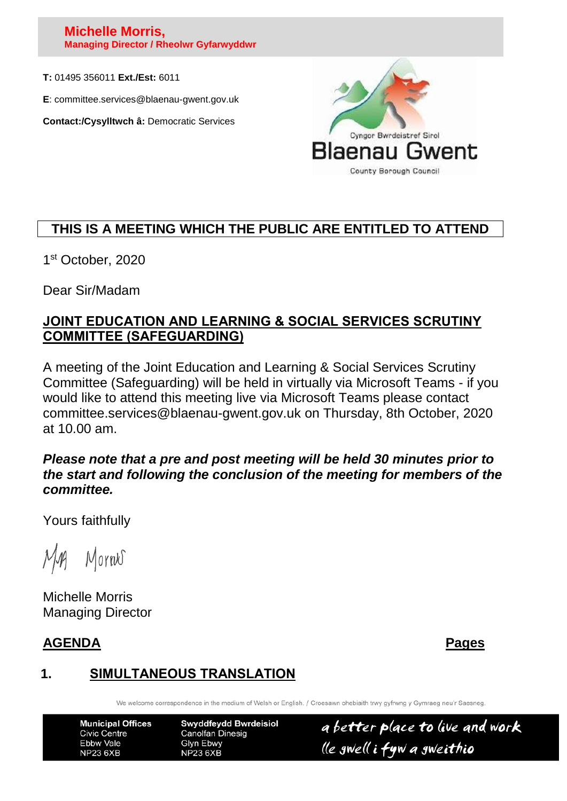### **Michelle Morris, Managing Director / Rheolwr Gyfarwyddwr**

**T:** 01495 356011 **Ext./Est:** 6011

**E**: committee.services@blaenau-gwent.gov.uk

**Contact:/Cysylltwch â:** Democratic Services



# **THIS IS A MEETING WHICH THE PUBLIC ARE ENTITLED TO ATTEND**

1 st October, 2020

Dear Sir/Madam

## **JOINT EDUCATION AND LEARNING & SOCIAL SERVICES SCRUTINY COMMITTEE (SAFEGUARDING)**

A meeting of the Joint Education and Learning & Social Services Scrutiny Committee (Safeguarding) will be held in virtually via Microsoft Teams - if you would like to attend this meeting live via Microsoft Teams please contact committee.services@blaenau-gwent.gov.uk on Thursday, 8th October, 2020 at 10.00 am.

## *Please note that a pre and post meeting will be held 30 minutes prior to the start and following the conclusion of the meeting for members of the committee.*

Yours faithfully

Mornes

Michelle Morris Managing Director

# **AGENDA Pages**

# **1. SIMULTANEOUS TRANSLATION**

We welcome correspondence in the medium of Welsh or English. / Croesawn ohebiaith trwy gyfrwng y Gymraeg neu'r Saesneg

**Municipal Offices Swyddfeydd Bwrdeisiol** a better place to live and work **Civic Centre Canolfan Dinesig** Ebbw Vale Glyn Ebwy lle gwell i fyw a gweithio **NP23 6XB NP23 6XB**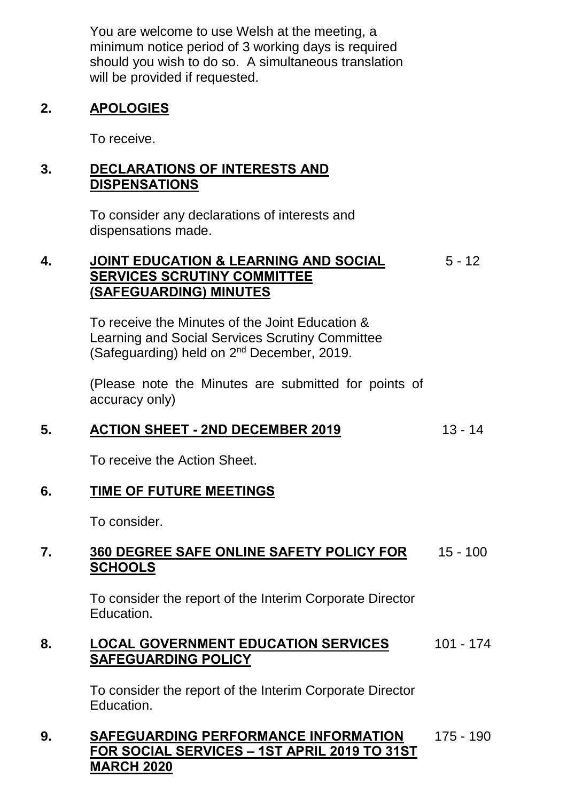You are welcome to use Welsh at the meeting, a minimum notice period of 3 working days is required should you wish to do so. A simultaneous translation will be provided if requested.

## **2. APOLOGIES**

To receive.

## **3. DECLARATIONS OF INTERESTS AND DISPENSATIONS**

To consider any declarations of interests and dispensations made.

### **4. JOINT EDUCATION & LEARNING AND SOCIAL SERVICES SCRUTINY COMMITTEE (SAFEGUARDING) MINUTES**  $5 - 12$

To receive the Minutes of the Joint Education & Learning and Social Services Scrutiny Committee (Safeguarding) held on 2nd December, 2019.

(Please note the Minutes are submitted for points of accuracy only)

# **5. ACTION SHEET - 2ND DECEMBER 2019** 13 - 14

To receive the Action Sheet.

## **6. TIME OF FUTURE MEETINGS**

To consider.

#### **7. 360 DEGREE SAFE ONLINE SAFETY POLICY FOR SCHOOLS** 15 - 100

To consider the report of the Interim Corporate Director Education.

#### **8. LOCAL GOVERNMENT EDUCATION SERVICES SAFEGUARDING POLICY** 101 - 174

To consider the report of the Interim Corporate Director Education.

### **9. SAFEGUARDING PERFORMANCE INFORMATION FOR SOCIAL SERVICES – 1ST APRIL 2019 TO 31ST MARCH 2020** 175 - 190